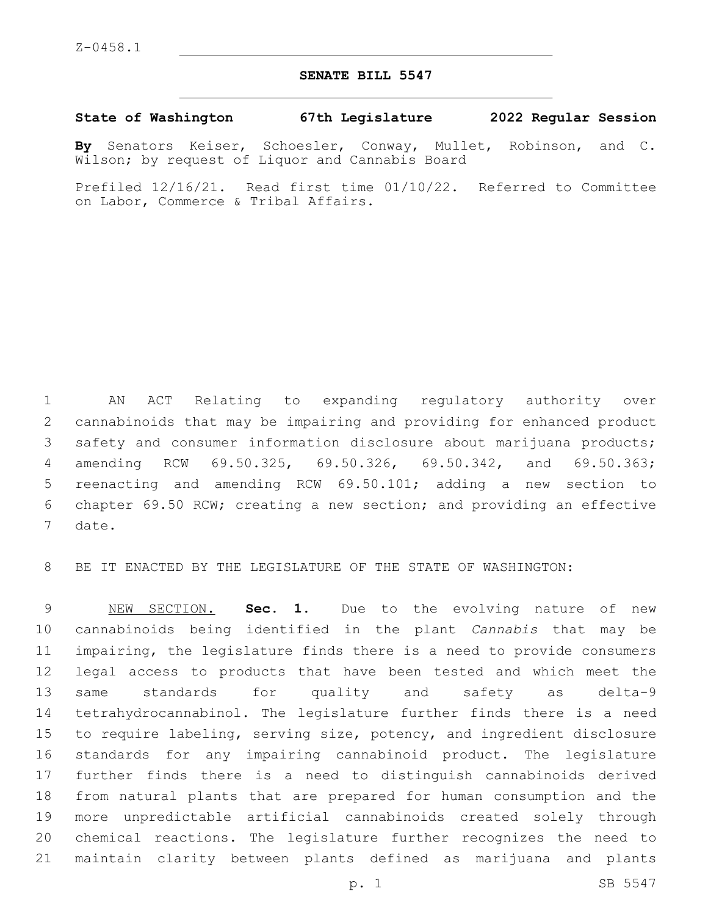## **SENATE BILL 5547**

**State of Washington 67th Legislature 2022 Regular Session**

**By** Senators Keiser, Schoesler, Conway, Mullet, Robinson, and C. Wilson; by request of Liquor and Cannabis Board

Prefiled 12/16/21. Read first time 01/10/22. Referred to Committee on Labor, Commerce & Tribal Affairs.

 AN ACT Relating to expanding regulatory authority over cannabinoids that may be impairing and providing for enhanced product safety and consumer information disclosure about marijuana products; amending RCW 69.50.325, 69.50.326, 69.50.342, and 69.50.363; reenacting and amending RCW 69.50.101; adding a new section to chapter 69.50 RCW; creating a new section; and providing an effective 7 date.

BE IT ENACTED BY THE LEGISLATURE OF THE STATE OF WASHINGTON:

 NEW SECTION. **Sec. 1.** Due to the evolving nature of new cannabinoids being identified in the plant *Cannabis* that may be impairing, the legislature finds there is a need to provide consumers legal access to products that have been tested and which meet the same standards for quality and safety as delta-9 tetrahydrocannabinol. The legislature further finds there is a need to require labeling, serving size, potency, and ingredient disclosure standards for any impairing cannabinoid product. The legislature further finds there is a need to distinguish cannabinoids derived from natural plants that are prepared for human consumption and the more unpredictable artificial cannabinoids created solely through chemical reactions. The legislature further recognizes the need to maintain clarity between plants defined as marijuana and plants

p. 1 SB 5547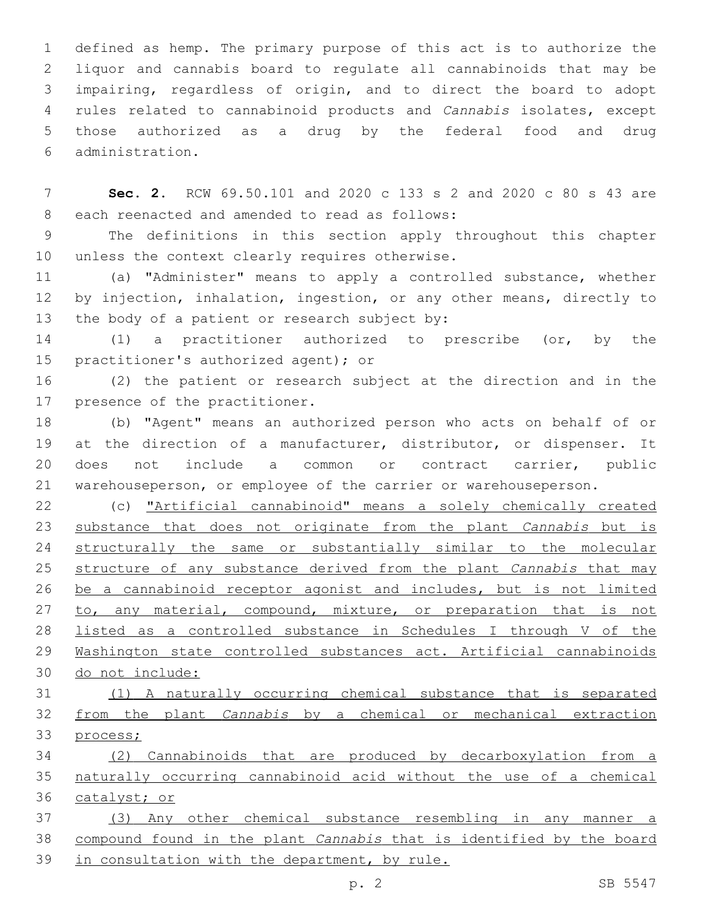defined as hemp. The primary purpose of this act is to authorize the liquor and cannabis board to regulate all cannabinoids that may be impairing, regardless of origin, and to direct the board to adopt rules related to cannabinoid products and *Cannabis* isolates, except those authorized as a drug by the federal food and drug administration.6

 **Sec. 2.** RCW 69.50.101 and 2020 c 133 s 2 and 2020 c 80 s 43 are 8 each reenacted and amended to read as follows:

 The definitions in this section apply throughout this chapter 10 unless the context clearly requires otherwise.

 (a) "Administer" means to apply a controlled substance, whether by injection, inhalation, ingestion, or any other means, directly to 13 the body of a patient or research subject by:

 (1) a practitioner authorized to prescribe (or, by the 15 practitioner's authorized agent); or

 (2) the patient or research subject at the direction and in the 17 presence of the practitioner.

 (b) "Agent" means an authorized person who acts on behalf of or at the direction of a manufacturer, distributor, or dispenser. It does not include a common or contract carrier, public warehouseperson, or employee of the carrier or warehouseperson.

 (c) "Artificial cannabinoid" means a solely chemically created substance that does not originate from the plant *Cannabis* but is structurally the same or substantially similar to the molecular structure of any substance derived from the plant *Cannabis* that may be a cannabinoid receptor agonist and includes, but is not limited 27 to, any material, compound, mixture, or preparation that is not listed as a controlled substance in Schedules I through V of the Washington state controlled substances act. Artificial cannabinoids do not include:

 (1) A naturally occurring chemical substance that is separated from the plant *Cannabis* by a chemical or mechanical extraction process;

 (2) Cannabinoids that are produced by decarboxylation from a naturally occurring cannabinoid acid without the use of a chemical catalyst; or

 (3) Any other chemical substance resembling in any manner a compound found in the plant *Cannabis* that is identified by the board in consultation with the department, by rule.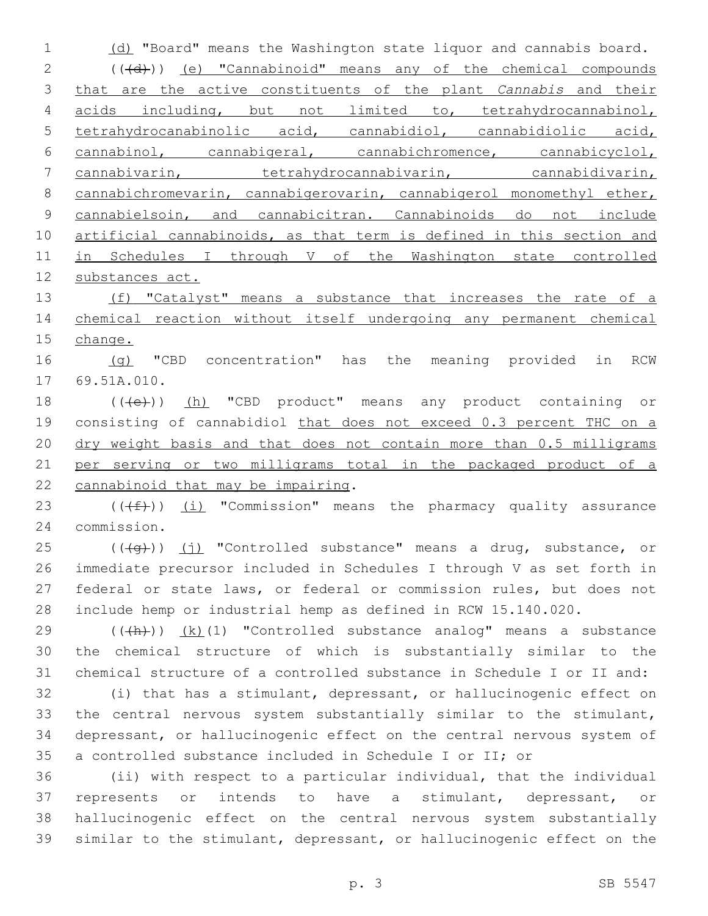1 (d) "Board" means the Washington state liquor and cannabis board. 2 (((d))) (e) "Cannabinoid" means any of the chemical compounds that are the active constituents of the plant *Cannabis* and their acids including, but not limited to, tetrahydrocannabinol, tetrahydrocanabinolic acid, cannabidiol, cannabidiolic acid, cannabinol, cannabigeral, cannabichromence, cannabicyclol, 7 cannabivarin, tetrahydrocannabivarin, cannabidivarin, 8 cannabichromevarin, cannabigerovarin, cannabigerol monomethyl ether, cannabielsoin, and cannabicitran. Cannabinoids do not include 10 artificial cannabinoids, as that term is defined in this section and in Schedules I through V of the Washington state controlled substances act. 13 (f) "Catalyst" means a substance that increases the rate of a chemical reaction without itself undergoing any permanent chemical change. 16 (g) "CBD concentration" has the meaning provided in RCW 17 69.51A.010. 18 (((e)) (h) "CBD product" means any product containing or consisting of cannabidiol that does not exceed 0.3 percent THC on a dry weight basis and that does not contain more than 0.5 milligrams per serving or two milligrams total in the packaged product of a 22 cannabinoid that may be impairing. 23 ( $(\text{+f})$ ) <u>(i)</u> "Commission" means the pharmacy quality assurance commission.24 (( $\left(\frac{1}{9}\right)$ ) (j) "Controlled substance" means a drug, substance, or immediate precursor included in Schedules I through V as set forth in federal or state laws, or federal or commission rules, but does not include hemp or industrial hemp as defined in RCW 15.140.020. (( $\frac{(\{h\})}{(h)}$ ) (k)(1) "Controlled substance analog" means a substance the chemical structure of which is substantially similar to the chemical structure of a controlled substance in Schedule I or II and: (i) that has a stimulant, depressant, or hallucinogenic effect on the central nervous system substantially similar to the stimulant, depressant, or hallucinogenic effect on the central nervous system of a controlled substance included in Schedule I or II; or (ii) with respect to a particular individual, that the individual represents or intends to have a stimulant, depressant, or hallucinogenic effect on the central nervous system substantially similar to the stimulant, depressant, or hallucinogenic effect on the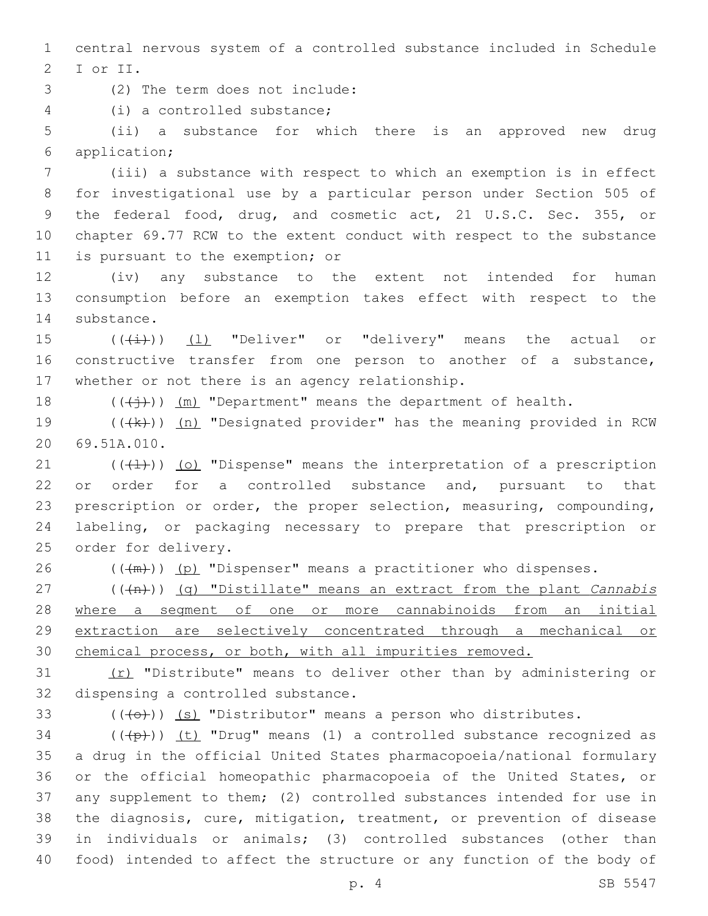1 central nervous system of a controlled substance included in Schedule 2 I or II.

(2) The term does not include:3

(i) a controlled substance;4

5 (ii) a substance for which there is an approved new drug application;6

 (iii) a substance with respect to which an exemption is in effect for investigational use by a particular person under Section 505 of the federal food, drug, and cosmetic act, 21 U.S.C. Sec. 355, or chapter 69.77 RCW to the extent conduct with respect to the substance 11 is pursuant to the exemption; or

12 (iv) any substance to the extent not intended for human 13 consumption before an exemption takes effect with respect to the 14 substance.

15  $((\overrightarrow{4})$  (1) "Deliver" or "delivery" means the actual or 16 constructive transfer from one person to another of a substance, 17 whether or not there is an agency relationship.

18  $((\n\leftrightarrow)^*)$  (m) "Department" means the department of health.

19  $((+k))$  (n) "Designated provider" has the meaning provided in RCW 69.51A.010.20

 (( $\left(\frac{1}{1}\right)$ ) (o) "Dispense" means the interpretation of a prescription or order for a controlled substance and, pursuant to that prescription or order, the proper selection, measuring, compounding, labeling, or packaging necessary to prepare that prescription or 25 order for delivery.

26  $((+m))$  (p) "Dispenser" means a practitioner who dispenses.

 (((n))) (q) "Distillate" means an extract from the plant *Cannabis*  where a segment of one or more cannabinoids from an initial extraction are selectively concentrated through a mechanical or chemical process, or both, with all impurities removed.

31 (r) "Distribute" means to deliver other than by administering or 32 dispensing a controlled substance.

33  $((+e+))$  (s) "Distributor" means a person who distributes.

 (( $\left(\frac{1}{2}+\right)$ ) (t) "Drug" means (1) a controlled substance recognized as a drug in the official United States pharmacopoeia/national formulary or the official homeopathic pharmacopoeia of the United States, or any supplement to them; (2) controlled substances intended for use in the diagnosis, cure, mitigation, treatment, or prevention of disease in individuals or animals; (3) controlled substances (other than food) intended to affect the structure or any function of the body of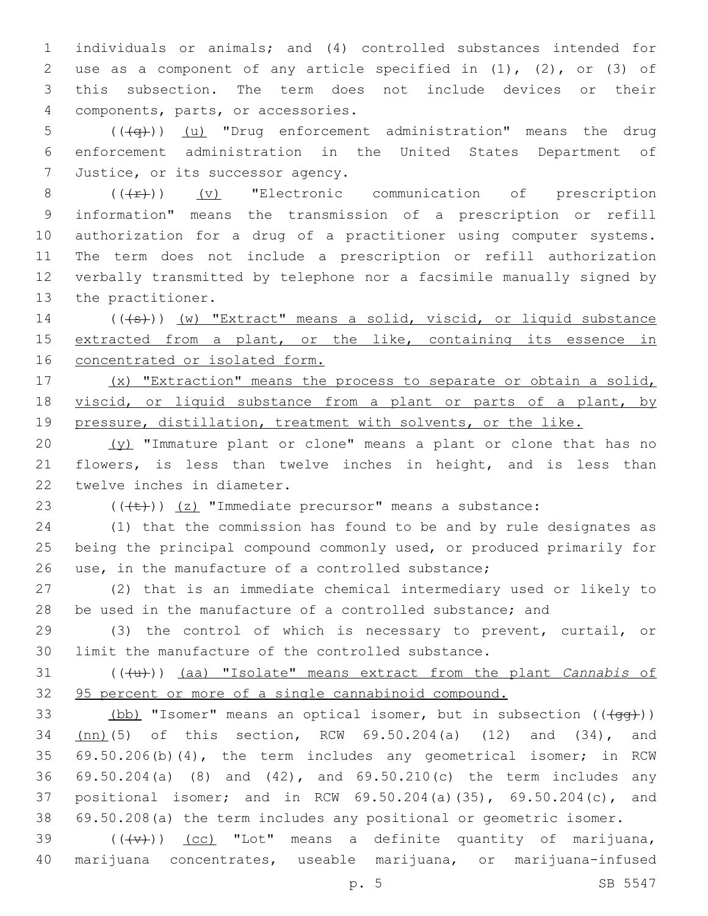individuals or animals; and (4) controlled substances intended for use as a component of any article specified in (1), (2), or (3) of this subsection. The term does not include devices or their components, parts, or accessories.4

5 (( $\left(\frac{1}{q} \right)$ ) (u) "Drug enforcement administration" means the drug enforcement administration in the United States Department of 7 Justice, or its successor agency.

 $((+F))$  (v) "Electronic communication of prescription information" means the transmission of a prescription or refill authorization for a drug of a practitioner using computer systems. The term does not include a prescription or refill authorization verbally transmitted by telephone nor a facsimile manually signed by 13 the practitioner.

14 (((+s)) (w) "Extract" means a solid, viscid, or liquid substance 15 extracted from a plant, or the like, containing its essence in concentrated or isolated form.

 (x) "Extraction" means the process to separate or obtain a solid, 18 viscid, or liquid substance from a plant or parts of a plant, by pressure, distillation, treatment with solvents, or the like.

20  $(y)$  "Immature plant or clone" means a plant or clone that has no flowers, is less than twelve inches in height, and is less than 22 twelve inches in diameter.

23  $((\text{(+t)}))$  (z) "Immediate precursor" means a substance:

 (1) that the commission has found to be and by rule designates as being the principal compound commonly used, or produced primarily for use, in the manufacture of a controlled substance;

 (2) that is an immediate chemical intermediary used or likely to be used in the manufacture of a controlled substance; and

 (3) the control of which is necessary to prevent, curtail, or limit the manufacture of the controlled substance.

 (((u))) (aa) "Isolate" means extract from the plant *Cannabis* of 95 percent or more of a single cannabinoid compound.

33 (bb) "Isomer" means an optical isomer, but in subsection (( $\overline{+qq}$ )) (nn)(5) of this section, RCW 69.50.204(a) (12) and (34), and 69.50.206(b)(4), the term includes any geometrical isomer; in RCW 69.50.204(a) (8) and (42), and 69.50.210(c) the term includes any positional isomer; and in RCW 69.50.204(a)(35), 69.50.204(c), and 69.50.208(a) the term includes any positional or geometric isomer.

39  $((+\nabla)^2)$   $(cc)$  "Lot" means a definite quantity of marijuana, marijuana concentrates, useable marijuana, or marijuana-infused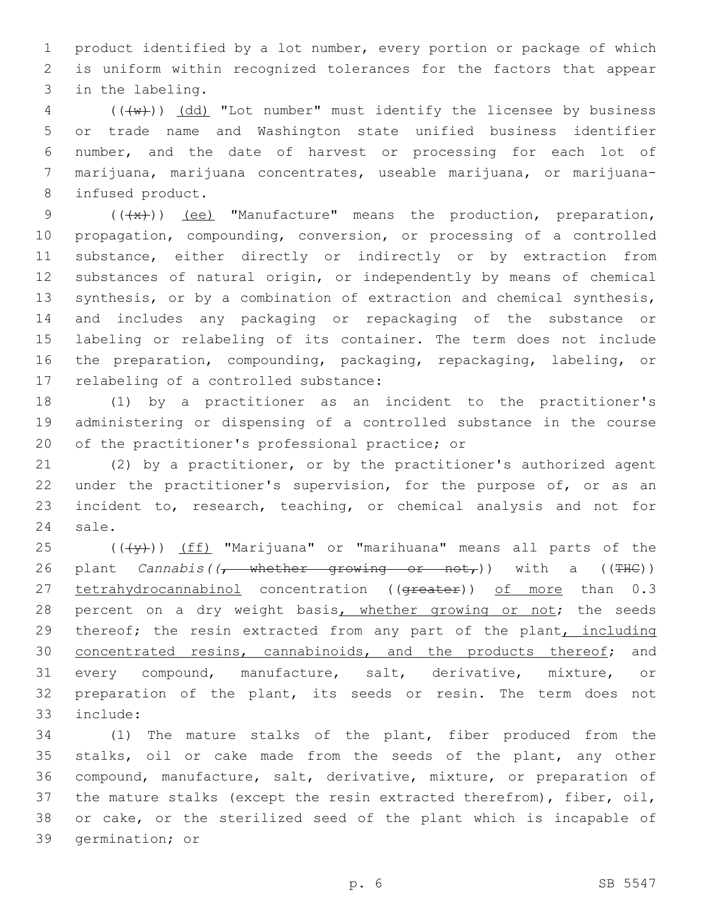1 product identified by a lot number, every portion or package of which 2 is uniform within recognized tolerances for the factors that appear 3 in the labeling.

 (( $\overline{\text{w}}$ )) (dd) "Lot number" must identify the licensee by business or trade name and Washington state unified business identifier number, and the date of harvest or processing for each lot of marijuana, marijuana concentrates, useable marijuana, or marijuana-8 infused product.

 $((+x))$  (ee) "Manufacture" means the production, preparation, propagation, compounding, conversion, or processing of a controlled substance, either directly or indirectly or by extraction from substances of natural origin, or independently by means of chemical synthesis, or by a combination of extraction and chemical synthesis, and includes any packaging or repackaging of the substance or labeling or relabeling of its container. The term does not include the preparation, compounding, packaging, repackaging, labeling, or 17 relabeling of a controlled substance:

18 (1) by a practitioner as an incident to the practitioner's 19 administering or dispensing of a controlled substance in the course 20 of the practitioner's professional practice; or

21 (2) by a practitioner, or by the practitioner's authorized agent 22 under the practitioner's supervision, for the purpose of, or as an 23 incident to, research, teaching, or chemical analysis and not for 24 sale.

25 (((+y)) (ff) "Marijuana" or "marihuana" means all parts of the 26 plant *Cannabis((<del>, whether growing or not,</del>))* with a ((THC)) 27 tetrahydrocannabinol concentration ((<del>greater</del>)) of more than 0.3 28 percent on a dry weight basis, whether growing or not; the seeds 29 thereof; the resin extracted from any part of the plant, including 30 concentrated resins, cannabinoids, and the products thereof; and 31 every compound, manufacture, salt, derivative, mixture, or 32 preparation of the plant, its seeds or resin. The term does not include:33

 (1) The mature stalks of the plant, fiber produced from the stalks, oil or cake made from the seeds of the plant, any other compound, manufacture, salt, derivative, mixture, or preparation of the mature stalks (except the resin extracted therefrom), fiber, oil, or cake, or the sterilized seed of the plant which is incapable of 39 germination; or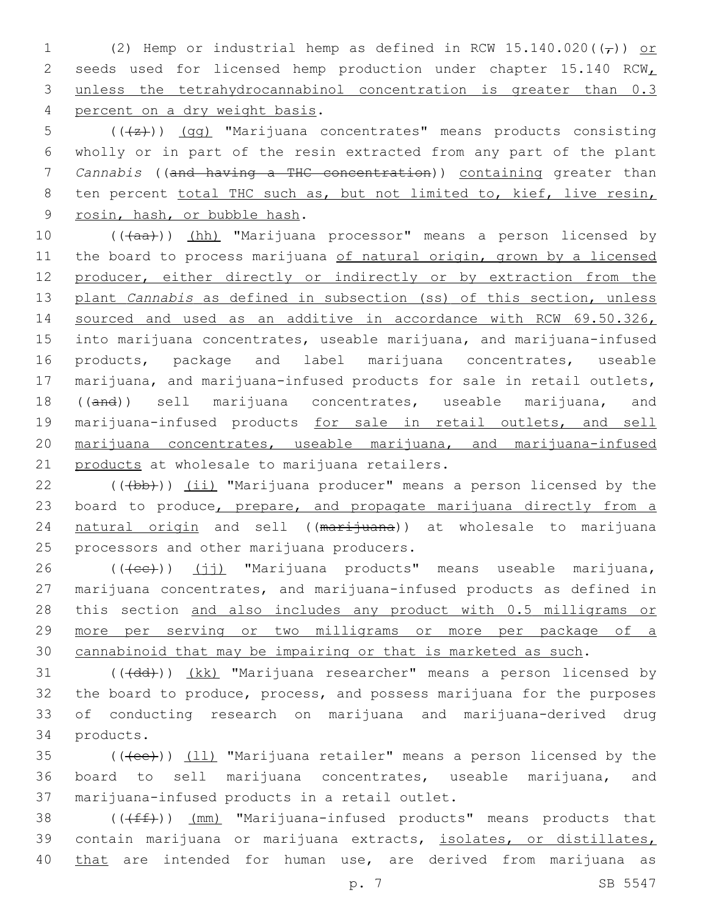1 (2) Hemp or industrial hemp as defined in RCW 15.140.020( $(\tau)$ ) or 2 seeds used for licensed hemp production under chapter 15.140 RCW 3 unless the tetrahydrocannabinol concentration is greater than 0.3 4 percent on a dry weight basis.

5  $((+2))$   $(gq)$  "Marijuana concentrates" means products consisting 6 wholly or in part of the resin extracted from any part of the plant 7 *Cannabis* ((and having a THC concentration)) containing greater than 8 ten percent total THC such as, but not limited to, kief, live resin, 9 rosin, hash, or bubble hash.

10 (((aa))) (hh) "Marijuana processor" means a person licensed by 11 the board to process marijuana of natural origin, grown by a licensed 12 producer, either directly or indirectly or by extraction from the 13 plant *Cannabis* as defined in subsection (ss) of this section, unless 14 sourced and used as an additive in accordance with RCW 69.50.326, 15 into marijuana concentrates, useable marijuana, and marijuana-infused 16 products, package and label marijuana concentrates, useable 17 marijuana, and marijuana-infused products for sale in retail outlets, 18 ((and)) sell marijuana concentrates, useable marijuana, and 19 marijuana-infused products for sale in retail outlets, and sell 20 marijuana concentrates, useable marijuana, and marijuana-infused 21 products at wholesale to marijuana retailers.

22 (((b))) (ii) "Marijuana producer" means a person licensed by the 23 board to produce, prepare, and propagate marijuana directly from a 24 natural origin and sell ((marijuana)) at wholesale to marijuana 25 processors and other marijuana producers.

26 (((ee)) (jj) "Marijuana products" means useable marijuana, 27 marijuana concentrates, and marijuana-infused products as defined in 28 this section and also includes any product with 0.5 milligrams or 29 more per serving or two milligrams or more per package of a 30 cannabinoid that may be impairing or that is marketed as such.

31 (((+dd))) (kk) "Marijuana researcher" means a person licensed by 32 the board to produce, process, and possess marijuana for the purposes 33 of conducting research on marijuana and marijuana-derived drug 34 products.

35 (((ee))) (11) "Marijuana retailer" means a person licensed by the 36 board to sell marijuana concentrates, useable marijuana, and 37 marijuana-infused products in a retail outlet.

38 (((ff))) (mm) "Marijuana-infused products" means products that 39 contain marijuana or marijuana extracts, isolates, or distillates, 40 that are intended for human use, are derived from marijuana as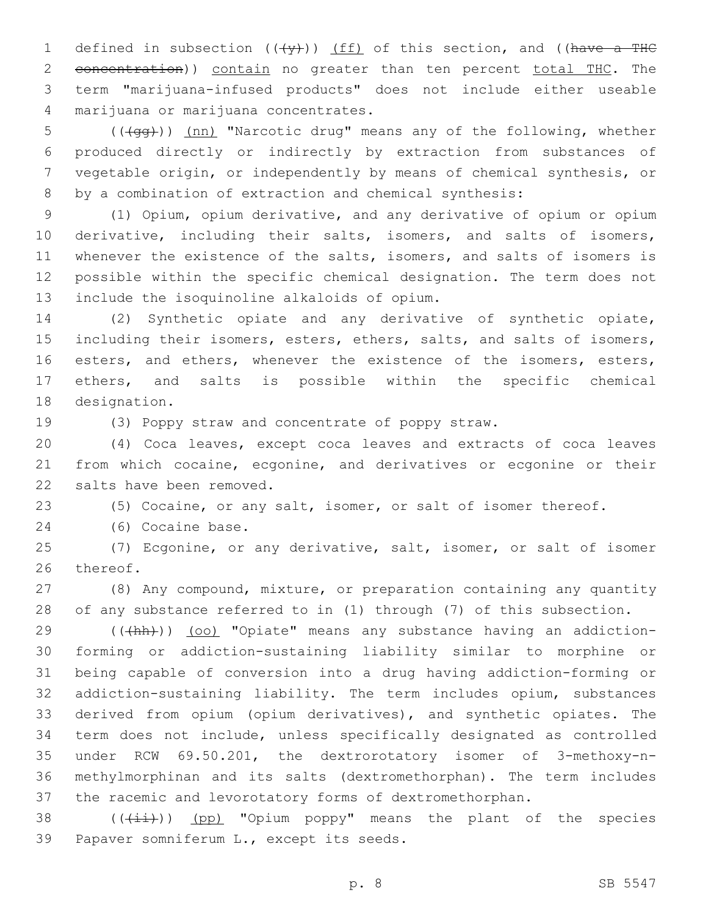1 defined in subsection  $((+\gamma)^2)$  (ff) of this section, and ((have a THC 2 concentration)) contain no greater than ten percent total THC. The term "marijuana-infused products" does not include either useable marijuana or marijuana concentrates.4

5 (( $\frac{1}{100}$  (( $\frac{1}{100}$ ) (nn) "Narcotic drug" means any of the following, whether produced directly or indirectly by extraction from substances of vegetable origin, or independently by means of chemical synthesis, or by a combination of extraction and chemical synthesis:

 (1) Opium, opium derivative, and any derivative of opium or opium derivative, including their salts, isomers, and salts of isomers, whenever the existence of the salts, isomers, and salts of isomers is possible within the specific chemical designation. The term does not 13 include the isoquinoline alkaloids of opium.

 (2) Synthetic opiate and any derivative of synthetic opiate, 15 including their isomers, esters, ethers, salts, and salts of isomers, 16 esters, and ethers, whenever the existence of the isomers, esters, ethers, and salts is possible within the specific chemical 18 designation.

(3) Poppy straw and concentrate of poppy straw.

 (4) Coca leaves, except coca leaves and extracts of coca leaves from which cocaine, ecgonine, and derivatives or ecgonine or their 22 salts have been removed.

(5) Cocaine, or any salt, isomer, or salt of isomer thereof.

24 (6) Cocaine base.

 (7) Ecgonine, or any derivative, salt, isomer, or salt of isomer 26 thereof.

 (8) Any compound, mixture, or preparation containing any quantity of any substance referred to in (1) through (7) of this subsection.

29 (((hh)) (oo) "Opiate" means any substance having an addiction- forming or addiction-sustaining liability similar to morphine or being capable of conversion into a drug having addiction-forming or addiction-sustaining liability. The term includes opium, substances derived from opium (opium derivatives), and synthetic opiates. The term does not include, unless specifically designated as controlled under RCW 69.50.201, the dextrorotatory isomer of 3-methoxy-n- methylmorphinan and its salts (dextromethorphan). The term includes the racemic and levorotatory forms of dextromethorphan.

38  $((\overline{4\pm})^n)$  (pp) "Opium poppy" means the plant of the species 39 Papaver somniferum L., except its seeds.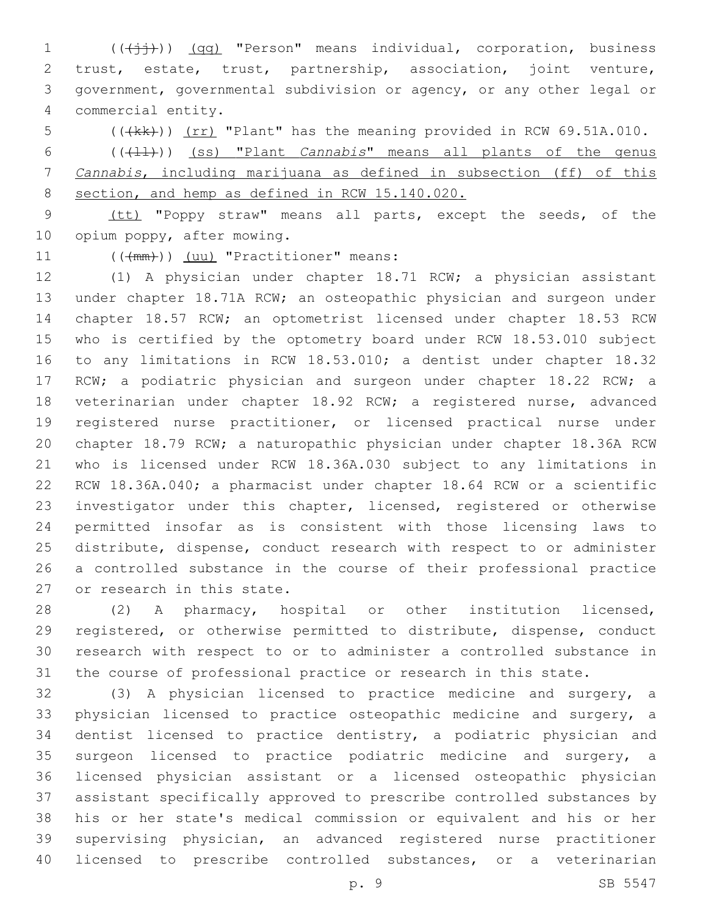1 (((+ii))) (qq) "Person" means individual, corporation, business trust, estate, trust, partnership, association, joint venture, government, governmental subdivision or agency, or any other legal or commercial entity.4

5 (((kk))) (rr) "Plant" has the meaning provided in RCW 69.51A.010. 6 (((+1))) (ss) "Plant *Cannabis*" means all plants of the genus *Cannabis*, including marijuana as defined in subsection (ff) of this 8 section, and hemp as defined in RCW 15.140.020.

 (tt) "Poppy straw" means all parts, except the seeds, of the 10 opium poppy, after mowing.

11 (( $(\text{mm})$ )) (uu) "Practitioner" means:

 (1) A physician under chapter 18.71 RCW; a physician assistant under chapter 18.71A RCW; an osteopathic physician and surgeon under chapter 18.57 RCW; an optometrist licensed under chapter 18.53 RCW who is certified by the optometry board under RCW 18.53.010 subject to any limitations in RCW 18.53.010; a dentist under chapter 18.32 17 RCW; a podiatric physician and surgeon under chapter 18.22 RCW; a veterinarian under chapter 18.92 RCW; a registered nurse, advanced registered nurse practitioner, or licensed practical nurse under chapter 18.79 RCW; a naturopathic physician under chapter 18.36A RCW who is licensed under RCW 18.36A.030 subject to any limitations in RCW 18.36A.040; a pharmacist under chapter 18.64 RCW or a scientific investigator under this chapter, licensed, registered or otherwise permitted insofar as is consistent with those licensing laws to distribute, dispense, conduct research with respect to or administer a controlled substance in the course of their professional practice 27 or research in this state.

 (2) A pharmacy, hospital or other institution licensed, registered, or otherwise permitted to distribute, dispense, conduct research with respect to or to administer a controlled substance in the course of professional practice or research in this state.

 (3) A physician licensed to practice medicine and surgery, a physician licensed to practice osteopathic medicine and surgery, a dentist licensed to practice dentistry, a podiatric physician and surgeon licensed to practice podiatric medicine and surgery, a licensed physician assistant or a licensed osteopathic physician assistant specifically approved to prescribe controlled substances by his or her state's medical commission or equivalent and his or her supervising physician, an advanced registered nurse practitioner licensed to prescribe controlled substances, or a veterinarian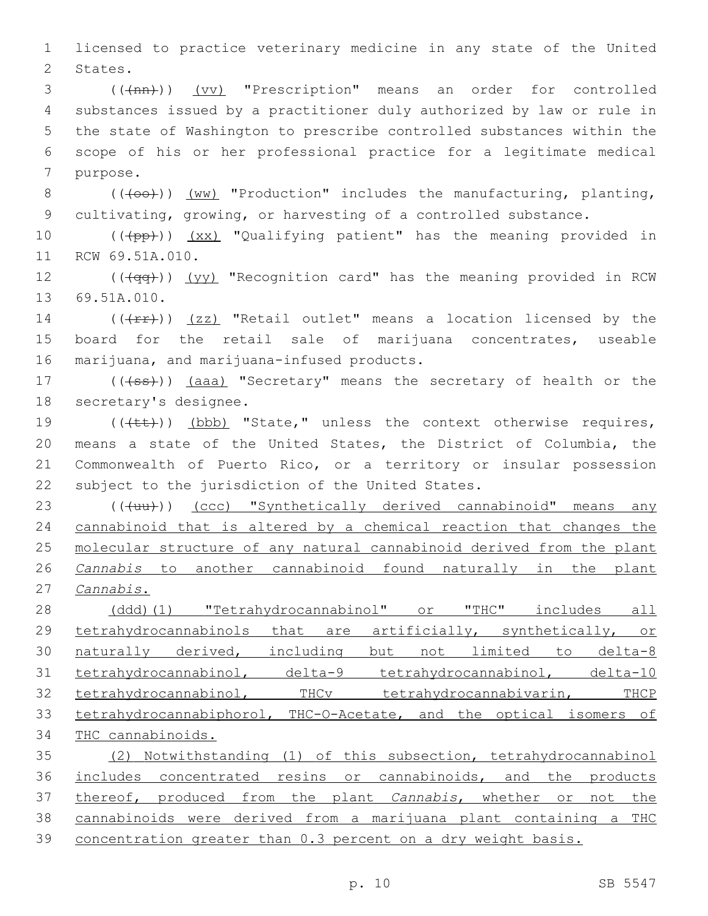1 licensed to practice veterinary medicine in any state of the United 2 States.

3 (( $(\text{tan})$ ) (vv) "Prescription" means an order for controlled 4 substances issued by a practitioner duly authorized by law or rule in 5 the state of Washington to prescribe controlled substances within the 6 scope of his or her professional practice for a legitimate medical 7 purpose.

8  $((+ \infty))^2$  (ww) "Production" includes the manufacturing, planting, 9 cultivating, growing, or harvesting of a controlled substance.

10 (((pp))) (xx) "Qualifying patient" has the meaning provided in 11 RCW 69.51A.010.

12 (( $\sqrt{qq}$ )) (yy) "Recognition card" has the meaning provided in RCW 13 69.51A.010.

14 ( $(\text{frr})$ ) (zz) "Retail outlet" means a location licensed by the 15 board for the retail sale of marijuana concentrates, useable 16 marijuana, and marijuana-infused products.

17 (((+ss))) (aaa) "Secretary" means the secretary of health or the 18 secretary's designee.

19 (((+t+)) (bbb) "State," unless the context otherwise requires, 20 means a state of the United States, the District of Columbia, the 21 Commonwealth of Puerto Rico, or a territory or insular possession 22 subject to the jurisdiction of the United States.

23 (((uu))) (ccc) "Synthetically derived cannabinoid" means any cannabinoid that is altered by a chemical reaction that changes the molecular structure of any natural cannabinoid derived from the plant *Cannabis* to another cannabinoid found naturally in the plant *Cannabis*.

 (ddd)(1) "Tetrahydrocannabinol" or "THC" includes all 29 tetrahydrocannabinols that are artificially, synthetically, or naturally derived, including but not limited to delta-8 31 tetrahydrocannabinol, delta-9 tetrahydrocannabinol, delta-10 tetrahydrocannabinol, THCv tetrahydrocannabivarin, THCP tetrahydrocannabiphorol, THC-O-Acetate, and the optical isomers of THC cannabinoids.

 (2) Notwithstanding (1) of this subsection, tetrahydrocannabinol includes concentrated resins or cannabinoids, and the products thereof, produced from the plant *Cannabis*, whether or not the cannabinoids were derived from a marijuana plant containing a THC concentration greater than 0.3 percent on a dry weight basis.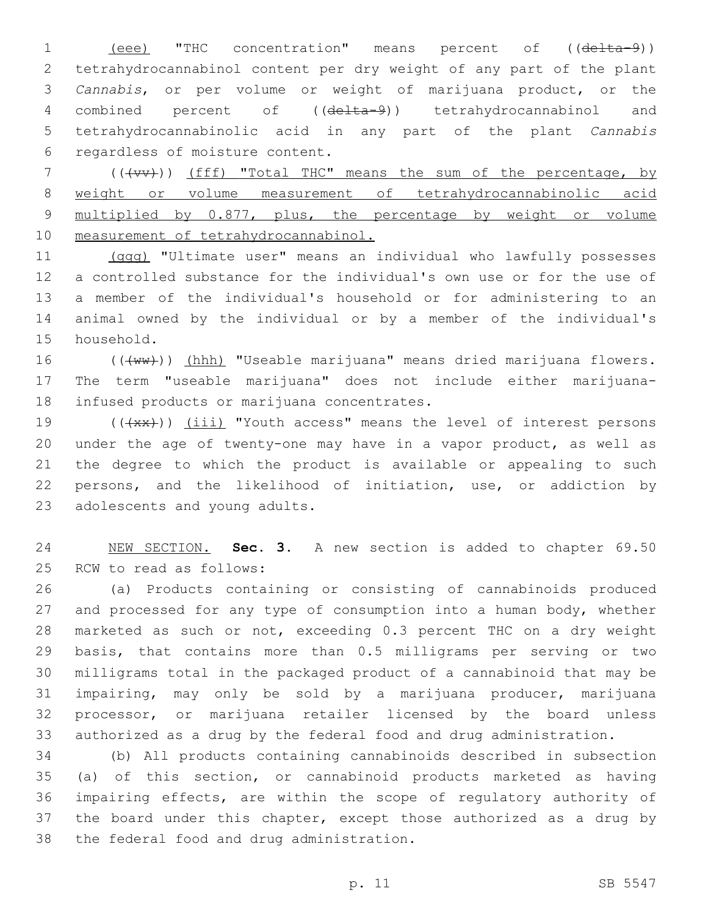1 (eee) "THC concentration" means percent of ((delta-9)) tetrahydrocannabinol content per dry weight of any part of the plant *Cannabis*, or per volume or weight of marijuana product, or the 4 combined percent of ((delta-9)) tetrahydrocannabinol and tetrahydrocannabinolic acid in any part of the plant *Cannabis*  6 regardless of moisture content.

7 (((vv))) (fff) "Total THC" means the sum of the percentage, by weight or volume measurement of tetrahydrocannabinolic acid multiplied by 0.877, plus, the percentage by weight or volume measurement of tetrahydrocannabinol.

 (ggg) "Ultimate user" means an individual who lawfully possesses a controlled substance for the individual's own use or for the use of a member of the individual's household or for administering to an animal owned by the individual or by a member of the individual's 15 household.

16 (((ww))) (hhh) "Useable marijuana" means dried marijuana flowers. The term "useable marijuana" does not include either marijuana-18 infused products or marijuana concentrates.

 $((+x+))$   $(iii)$  "Youth access" means the level of interest persons under the age of twenty-one may have in a vapor product, as well as the degree to which the product is available or appealing to such persons, and the likelihood of initiation, use, or addiction by 23 adolescents and young adults.

 NEW SECTION. **Sec. 3.** A new section is added to chapter 69.50 25 RCW to read as follows:

 (a) Products containing or consisting of cannabinoids produced and processed for any type of consumption into a human body, whether marketed as such or not, exceeding 0.3 percent THC on a dry weight basis, that contains more than 0.5 milligrams per serving or two milligrams total in the packaged product of a cannabinoid that may be impairing, may only be sold by a marijuana producer, marijuana processor, or marijuana retailer licensed by the board unless authorized as a drug by the federal food and drug administration.

 (b) All products containing cannabinoids described in subsection (a) of this section, or cannabinoid products marketed as having impairing effects, are within the scope of regulatory authority of 37 the board under this chapter, except those authorized as a drug by 38 the federal food and drug administration.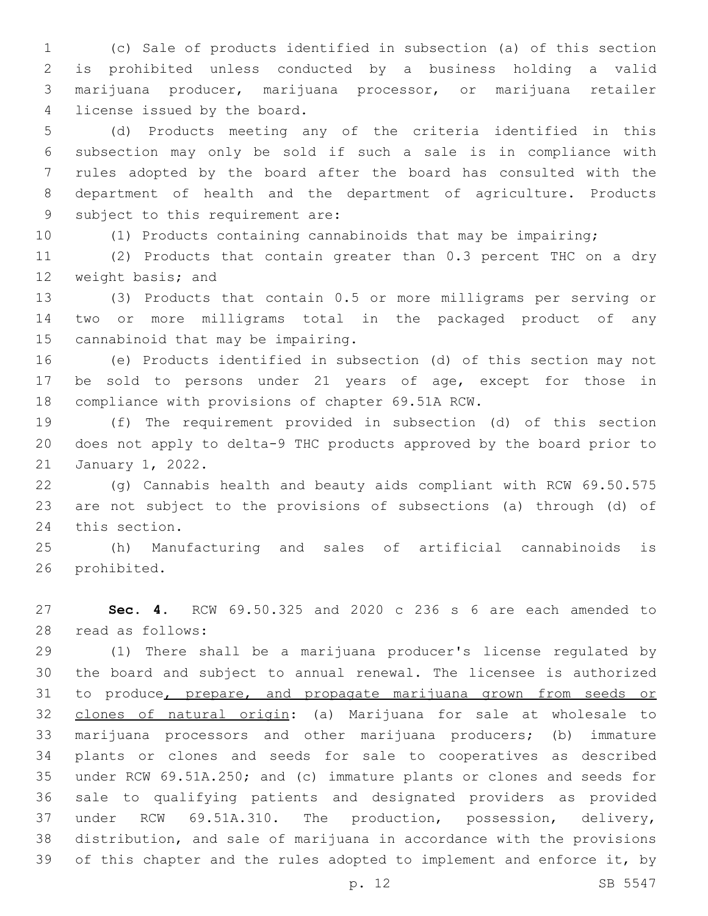(c) Sale of products identified in subsection (a) of this section is prohibited unless conducted by a business holding a valid marijuana producer, marijuana processor, or marijuana retailer 4 license issued by the board.

 (d) Products meeting any of the criteria identified in this subsection may only be sold if such a sale is in compliance with rules adopted by the board after the board has consulted with the department of health and the department of agriculture. Products 9 subject to this requirement are:

(1) Products containing cannabinoids that may be impairing;

 (2) Products that contain greater than 0.3 percent THC on a dry 12 weight basis; and

 (3) Products that contain 0.5 or more milligrams per serving or two or more milligrams total in the packaged product of any 15 cannabinoid that may be impairing.

 (e) Products identified in subsection (d) of this section may not be sold to persons under 21 years of age, except for those in 18 compliance with provisions of chapter 69.51A RCW.

 (f) The requirement provided in subsection (d) of this section does not apply to delta-9 THC products approved by the board prior to 21 January 1, 2022.

 (g) Cannabis health and beauty aids compliant with RCW 69.50.575 are not subject to the provisions of subsections (a) through (d) of 24 this section.

 (h) Manufacturing and sales of artificial cannabinoids is 26 prohibited.

 **Sec. 4.** RCW 69.50.325 and 2020 c 236 s 6 are each amended to read as follows:28

 (1) There shall be a marijuana producer's license regulated by the board and subject to annual renewal. The licensee is authorized 31 to produce, prepare, and propagate marijuana grown from seeds or clones of natural origin: (a) Marijuana for sale at wholesale to marijuana processors and other marijuana producers; (b) immature plants or clones and seeds for sale to cooperatives as described under RCW 69.51A.250; and (c) immature plants or clones and seeds for sale to qualifying patients and designated providers as provided under RCW 69.51A.310. The production, possession, delivery, distribution, and sale of marijuana in accordance with the provisions 39 of this chapter and the rules adopted to implement and enforce it, by

p. 12 SB 5547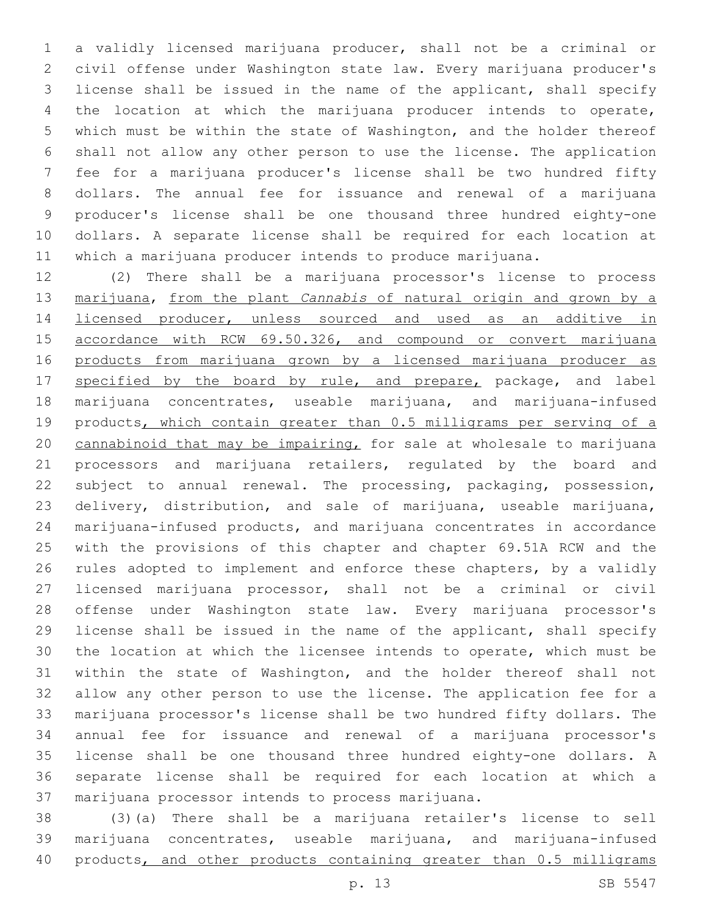a validly licensed marijuana producer, shall not be a criminal or civil offense under Washington state law. Every marijuana producer's license shall be issued in the name of the applicant, shall specify the location at which the marijuana producer intends to operate, which must be within the state of Washington, and the holder thereof shall not allow any other person to use the license. The application fee for a marijuana producer's license shall be two hundred fifty dollars. The annual fee for issuance and renewal of a marijuana producer's license shall be one thousand three hundred eighty-one dollars. A separate license shall be required for each location at which a marijuana producer intends to produce marijuana.

 (2) There shall be a marijuana processor's license to process marijuana, from the plant *Cannabis* of natural origin and grown by a 14 <u>licensed producer</u>, unless sourced and used as an additive in 15 accordance with RCW 69.50.326, and compound or convert marijuana products from marijuana grown by a licensed marijuana producer as 17 specified by the board by rule, and prepare, package, and label marijuana concentrates, useable marijuana, and marijuana-infused 19 products, which contain greater than 0.5 milligrams per serving of a cannabinoid that may be impairing, for sale at wholesale to marijuana processors and marijuana retailers, regulated by the board and subject to annual renewal. The processing, packaging, possession, delivery, distribution, and sale of marijuana, useable marijuana, marijuana-infused products, and marijuana concentrates in accordance with the provisions of this chapter and chapter 69.51A RCW and the rules adopted to implement and enforce these chapters, by a validly licensed marijuana processor, shall not be a criminal or civil offense under Washington state law. Every marijuana processor's license shall be issued in the name of the applicant, shall specify the location at which the licensee intends to operate, which must be within the state of Washington, and the holder thereof shall not allow any other person to use the license. The application fee for a marijuana processor's license shall be two hundred fifty dollars. The annual fee for issuance and renewal of a marijuana processor's license shall be one thousand three hundred eighty-one dollars. A separate license shall be required for each location at which a 37 marijuana processor intends to process marijuana.

 (3)(a) There shall be a marijuana retailer's license to sell marijuana concentrates, useable marijuana, and marijuana-infused 40 products, and other products containing greater than 0.5 milligrams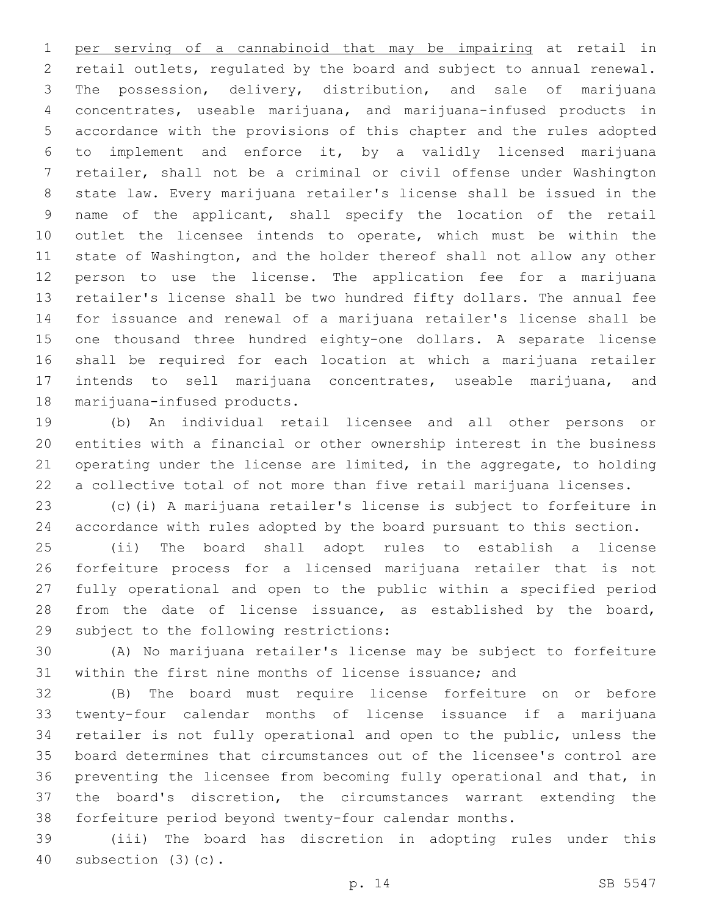per serving of a cannabinoid that may be impairing at retail in retail outlets, regulated by the board and subject to annual renewal. The possession, delivery, distribution, and sale of marijuana concentrates, useable marijuana, and marijuana-infused products in accordance with the provisions of this chapter and the rules adopted to implement and enforce it, by a validly licensed marijuana retailer, shall not be a criminal or civil offense under Washington state law. Every marijuana retailer's license shall be issued in the name of the applicant, shall specify the location of the retail outlet the licensee intends to operate, which must be within the state of Washington, and the holder thereof shall not allow any other person to use the license. The application fee for a marijuana retailer's license shall be two hundred fifty dollars. The annual fee for issuance and renewal of a marijuana retailer's license shall be one thousand three hundred eighty-one dollars. A separate license shall be required for each location at which a marijuana retailer intends to sell marijuana concentrates, useable marijuana, and 18 marijuana-infused products.

 (b) An individual retail licensee and all other persons or entities with a financial or other ownership interest in the business operating under the license are limited, in the aggregate, to holding a collective total of not more than five retail marijuana licenses.

 (c)(i) A marijuana retailer's license is subject to forfeiture in accordance with rules adopted by the board pursuant to this section.

 (ii) The board shall adopt rules to establish a license forfeiture process for a licensed marijuana retailer that is not fully operational and open to the public within a specified period from the date of license issuance, as established by the board, 29 subject to the following restrictions:

 (A) No marijuana retailer's license may be subject to forfeiture within the first nine months of license issuance; and

 (B) The board must require license forfeiture on or before twenty-four calendar months of license issuance if a marijuana retailer is not fully operational and open to the public, unless the board determines that circumstances out of the licensee's control are preventing the licensee from becoming fully operational and that, in the board's discretion, the circumstances warrant extending the forfeiture period beyond twenty-four calendar months.

 (iii) The board has discretion in adopting rules under this 40 subsection (3)(c).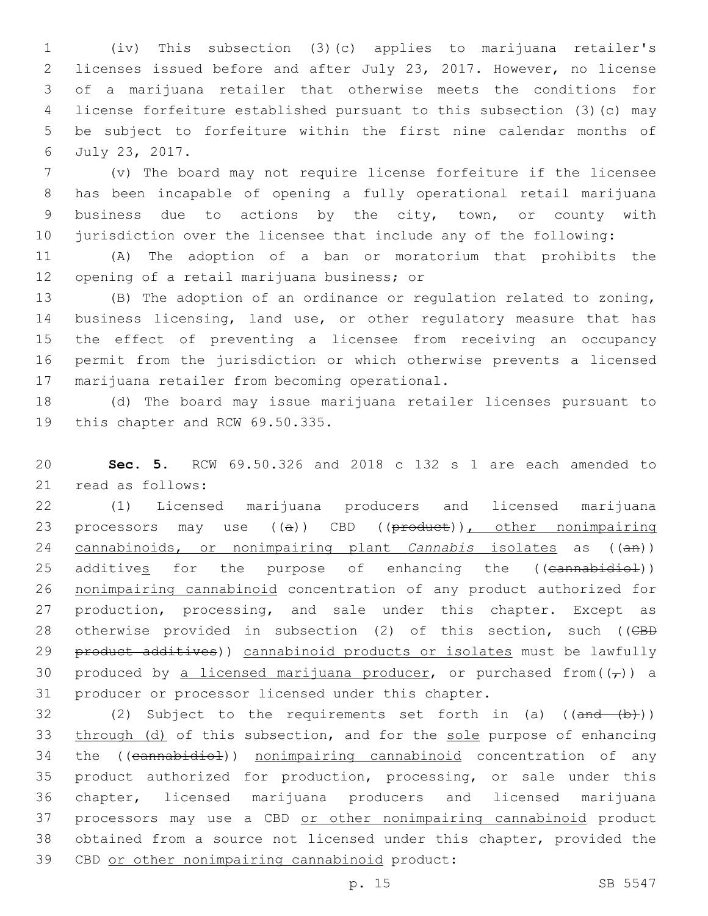(iv) This subsection (3)(c) applies to marijuana retailer's licenses issued before and after July 23, 2017. However, no license of a marijuana retailer that otherwise meets the conditions for license forfeiture established pursuant to this subsection (3)(c) may be subject to forfeiture within the first nine calendar months of July 23, 2017.6

 (v) The board may not require license forfeiture if the licensee has been incapable of opening a fully operational retail marijuana business due to actions by the city, town, or county with jurisdiction over the licensee that include any of the following:

11 (A) The adoption of a ban or moratorium that prohibits the 12 opening of a retail marijuana business; or

 (B) The adoption of an ordinance or regulation related to zoning, business licensing, land use, or other regulatory measure that has the effect of preventing a licensee from receiving an occupancy permit from the jurisdiction or which otherwise prevents a licensed 17 marijuana retailer from becoming operational.

18 (d) The board may issue marijuana retailer licenses pursuant to 19 this chapter and RCW 69.50.335.

20 **Sec. 5.** RCW 69.50.326 and 2018 c 132 s 1 are each amended to 21 read as follows:

22 (1) Licensed marijuana producers and licensed marijuana 23 processors may use ((a)) CBD ((product)), other nonimpairing 24 cannabinoids, or nonimpairing plant *Cannabis* isolates as ((an)) 25 additives for the purpose of enhancing the ((cannabidiol)) 26 nonimpairing cannabinoid concentration of any product authorized for 27 production, processing, and sale under this chapter. Except as 28 otherwise provided in subsection (2) of this section, such ((CBD 29 product additives)) cannabinoid products or isolates must be lawfully 30 produced by a licensed marijuana producer, or purchased from( $(\tau)$ ) a 31 producer or processor licensed under this chapter.

32 (2) Subject to the requirements set forth in (a) ((and (b))) 33 through (d) of this subsection, and for the sole purpose of enhancing 34 the ((cannabidiol)) nonimpairing cannabinoid concentration of any 35 product authorized for production, processing, or sale under this 36 chapter, licensed marijuana producers and licensed marijuana 37 processors may use a CBD or other nonimpairing cannabinoid product 38 obtained from a source not licensed under this chapter, provided the 39 CBD or other nonimpairing cannabinoid product: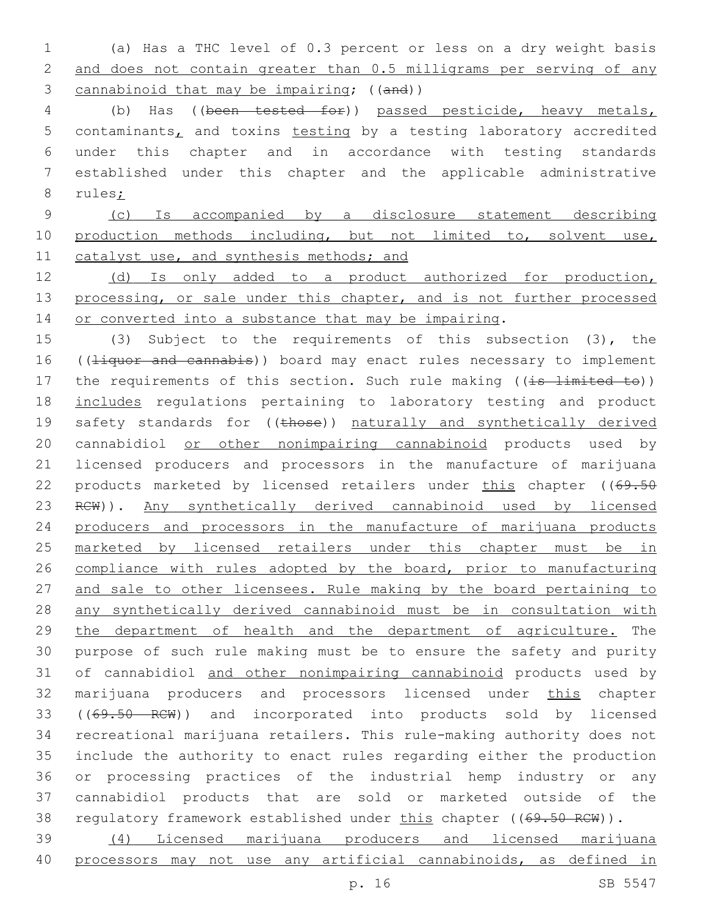1 (a) Has a THC level of 0.3 percent or less on a dry weight basis 2 and does not contain greater than 0.5 milligrams per serving of any 3 cannabinoid that may be impairing; ((and))

4 (b) Has ((been tested for)) passed pesticide, heavy metals, 5 contaminants, and toxins testing by a testing laboratory accredited 6 under this chapter and in accordance with testing standards 7 established under this chapter and the applicable administrative 8 rules;

9 (c) Is accompanied by a disclosure statement describing 10 production methods including, but not limited to, solvent use, 11 catalyst use, and synthesis methods; and

12 (d) Is only added to a product authorized for production, 13 processing, or sale under this chapter, and is not further processed 14 or converted into a substance that may be impairing.

15 (3) Subject to the requirements of this subsection (3), the 16 ((Hiquor and cannabis)) board may enact rules necessary to implement 17 the requirements of this section. Such rule making ((is limited to)) 18 includes regulations pertaining to laboratory testing and product 19 safety standards for ((those)) naturally and synthetically derived 20 cannabidiol or other nonimpairing cannabinoid products used by 21 licensed producers and processors in the manufacture of marijuana 22 products marketed by licensed retailers under this chapter ((69.50 23 RCW)). Any synthetically derived cannabinoid used by licensed 24 producers and processors in the manufacture of marijuana products 25 marketed by licensed retailers under this chapter must be in 26 compliance with rules adopted by the board, prior to manufacturing 27 and sale to other licensees. Rule making by the board pertaining to 28 any synthetically derived cannabinoid must be in consultation with 29 the department of health and the department of agriculture. The 30 purpose of such rule making must be to ensure the safety and purity 31 of cannabidiol and other nonimpairing cannabinoid products used by 32 marijuana producers and processors licensed under this chapter 33 ((69.50 RCW)) and incorporated into products sold by licensed 34 recreational marijuana retailers. This rule-making authority does not 35 include the authority to enact rules regarding either the production 36 or processing practices of the industrial hemp industry or any 37 cannabidiol products that are sold or marketed outside of the 38 regulatory framework established under this chapter ((69.50 RCW)). 39 (4) Licensed marijuana producers and licensed marijuana

40 processors may not use any artificial cannabinoids, as defined in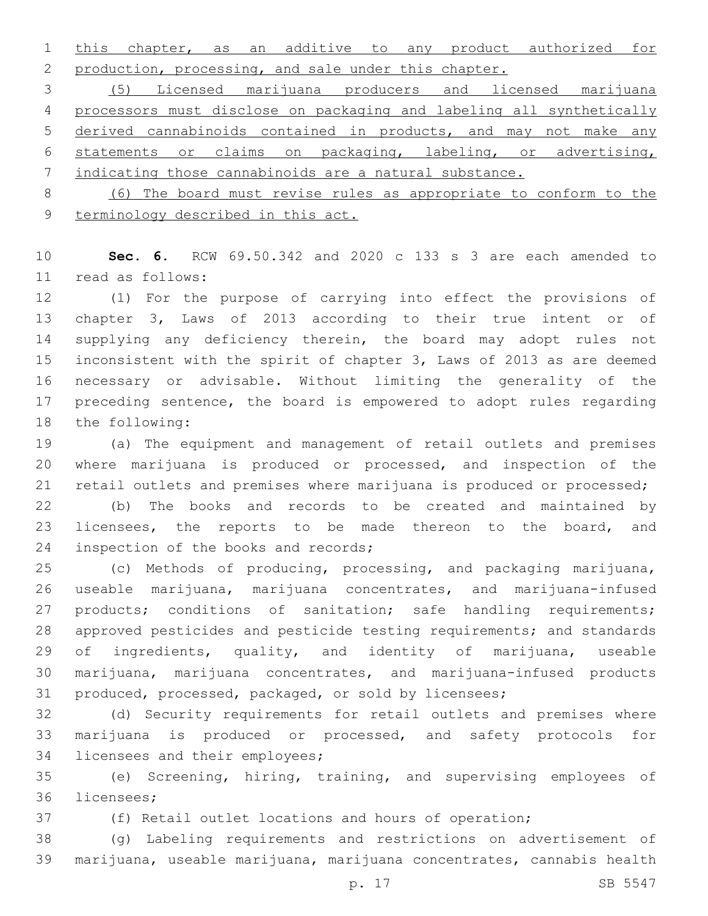this chapter, as an additive to any product authorized for 2 production, processing, and sale under this chapter.

 (5) Licensed marijuana producers and licensed marijuana processors must disclose on packaging and labeling all synthetically derived cannabinoids contained in products, and may not make any statements or claims on packaging, labeling, or advertising, indicating those cannabinoids are a natural substance.

 (6) The board must revise rules as appropriate to conform to the terminology described in this act.

 **Sec. 6.** RCW 69.50.342 and 2020 c 133 s 3 are each amended to read as follows:11

 (1) For the purpose of carrying into effect the provisions of chapter 3, Laws of 2013 according to their true intent or of 14 supplying any deficiency therein, the board may adopt rules not inconsistent with the spirit of chapter 3, Laws of 2013 as are deemed necessary or advisable. Without limiting the generality of the preceding sentence, the board is empowered to adopt rules regarding 18 the following:

 (a) The equipment and management of retail outlets and premises where marijuana is produced or processed, and inspection of the retail outlets and premises where marijuana is produced or processed;

 (b) The books and records to be created and maintained by licensees, the reports to be made thereon to the board, and 24 inspection of the books and records;

 (c) Methods of producing, processing, and packaging marijuana, useable marijuana, marijuana concentrates, and marijuana-infused 27 products; conditions of sanitation; safe handling requirements; approved pesticides and pesticide testing requirements; and standards 29 of ingredients, quality, and identity of marijuana, useable marijuana, marijuana concentrates, and marijuana-infused products produced, processed, packaged, or sold by licensees;

 (d) Security requirements for retail outlets and premises where marijuana is produced or processed, and safety protocols for 34 licensees and their employees;

 (e) Screening, hiring, training, and supervising employees of 36 licensees;

(f) Retail outlet locations and hours of operation;

 (g) Labeling requirements and restrictions on advertisement of marijuana, useable marijuana, marijuana concentrates, cannabis health

p. 17 SB 5547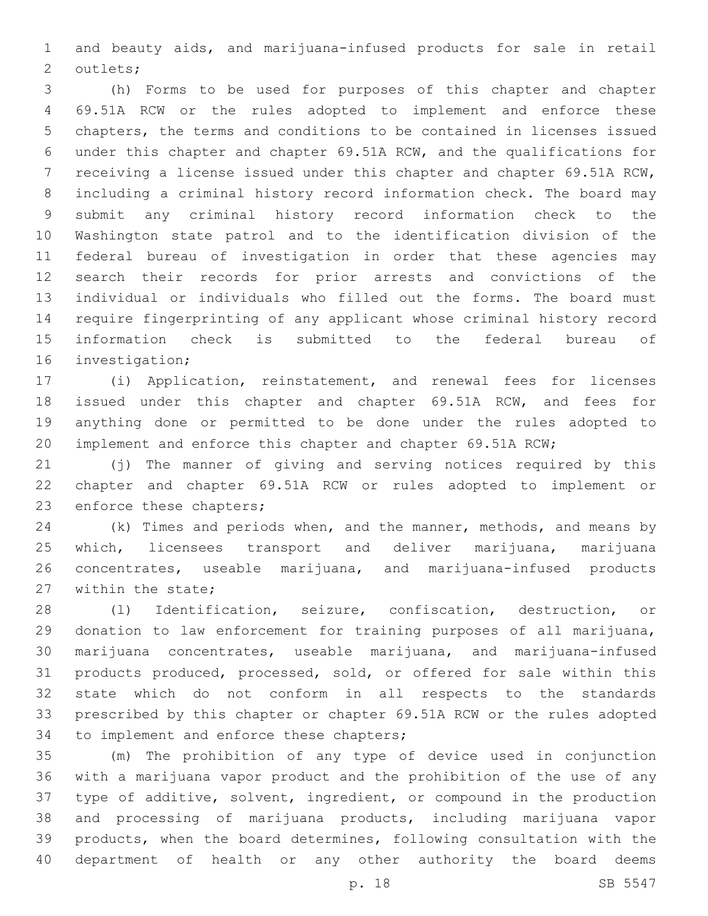and beauty aids, and marijuana-infused products for sale in retail 2 outlets;

 (h) Forms to be used for purposes of this chapter and chapter 69.51A RCW or the rules adopted to implement and enforce these chapters, the terms and conditions to be contained in licenses issued under this chapter and chapter 69.51A RCW, and the qualifications for receiving a license issued under this chapter and chapter 69.51A RCW, including a criminal history record information check. The board may submit any criminal history record information check to the Washington state patrol and to the identification division of the federal bureau of investigation in order that these agencies may search their records for prior arrests and convictions of the individual or individuals who filled out the forms. The board must require fingerprinting of any applicant whose criminal history record information check is submitted to the federal bureau of 16 investigation;

 (i) Application, reinstatement, and renewal fees for licenses issued under this chapter and chapter 69.51A RCW, and fees for anything done or permitted to be done under the rules adopted to implement and enforce this chapter and chapter 69.51A RCW;

 (j) The manner of giving and serving notices required by this chapter and chapter 69.51A RCW or rules adopted to implement or 23 enforce these chapters;

24 (k) Times and periods when, and the manner, methods, and means by which, licensees transport and deliver marijuana, marijuana concentrates, useable marijuana, and marijuana-infused products 27 within the state:

 (l) Identification, seizure, confiscation, destruction, or donation to law enforcement for training purposes of all marijuana, marijuana concentrates, useable marijuana, and marijuana-infused products produced, processed, sold, or offered for sale within this state which do not conform in all respects to the standards prescribed by this chapter or chapter 69.51A RCW or the rules adopted 34 to implement and enforce these chapters;

 (m) The prohibition of any type of device used in conjunction with a marijuana vapor product and the prohibition of the use of any type of additive, solvent, ingredient, or compound in the production and processing of marijuana products, including marijuana vapor products, when the board determines, following consultation with the department of health or any other authority the board deems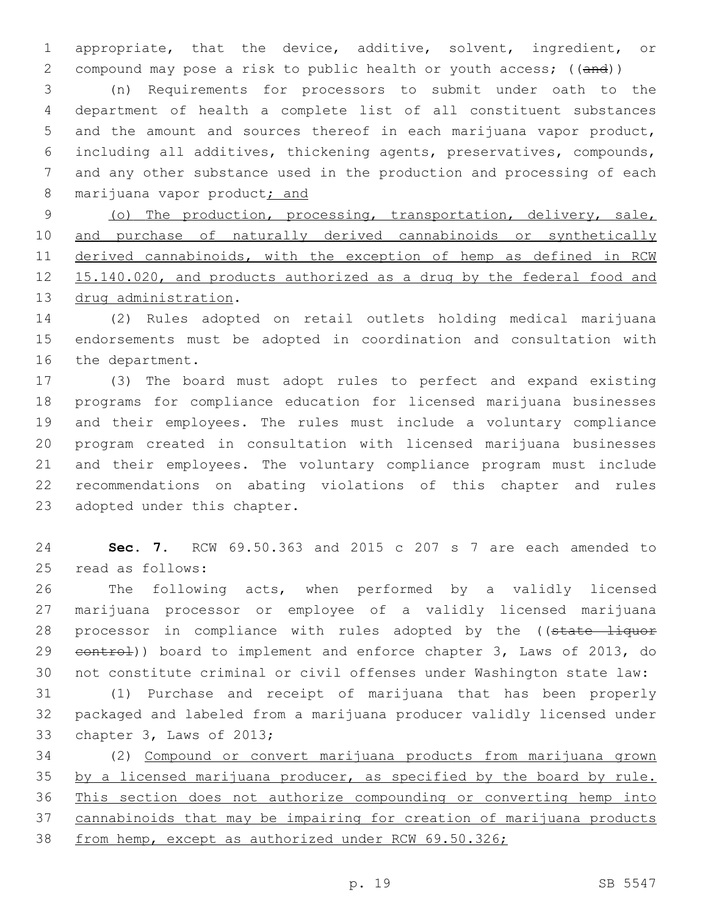appropriate, that the device, additive, solvent, ingredient, or 2 compound may pose a risk to public health or youth access; ((and))

 (n) Requirements for processors to submit under oath to the department of health a complete list of all constituent substances and the amount and sources thereof in each marijuana vapor product, including all additives, thickening agents, preservatives, compounds, and any other substance used in the production and processing of each 8 marijuana vapor product; and

 (o) The production, processing, transportation, delivery, sale, and purchase of naturally derived cannabinoids or synthetically derived cannabinoids, with the exception of hemp as defined in RCW 15.140.020, and products authorized as a drug by the federal food and 13 drug administration.

 (2) Rules adopted on retail outlets holding medical marijuana endorsements must be adopted in coordination and consultation with 16 the department.

 (3) The board must adopt rules to perfect and expand existing programs for compliance education for licensed marijuana businesses and their employees. The rules must include a voluntary compliance program created in consultation with licensed marijuana businesses and their employees. The voluntary compliance program must include recommendations on abating violations of this chapter and rules 23 adopted under this chapter.

 **Sec. 7.** RCW 69.50.363 and 2015 c 207 s 7 are each amended to 25 read as follows:

 The following acts, when performed by a validly licensed marijuana processor or employee of a validly licensed marijuana 28 processor in compliance with rules adopted by the ((state liquor 29 eontrol)) board to implement and enforce chapter 3, Laws of 2013, do not constitute criminal or civil offenses under Washington state law:

 (1) Purchase and receipt of marijuana that has been properly packaged and labeled from a marijuana producer validly licensed under 33 chapter 3, Laws of 2013;

 (2) Compound or convert marijuana products from marijuana grown 35 by a licensed marijuana producer, as specified by the board by rule. This section does not authorize compounding or converting hemp into cannabinoids that may be impairing for creation of marijuana products from hemp, except as authorized under RCW 69.50.326;